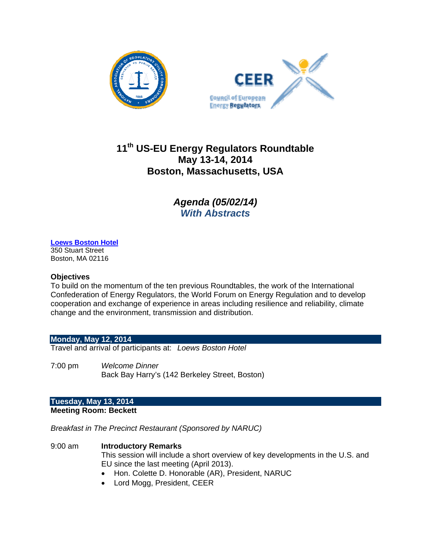



# **11th US-EU Energy Regulators Roundtable May 13-14, 2014 Boston, Massachusetts, USA**

*Agenda (05/02/14) With Abstracts*

# **Loews Boston Hotel**

350 Stuart Street Boston, MA 02116

### **Objectives**

To build on the momentum of the ten previous Roundtables, the work of the International Confederation of Energy Regulators, the World Forum on Energy Regulation and to develop cooperation and exchange of experience in areas including resilience and reliability, climate change and the environment, transmission and distribution.

# **Monday, May 12, 2014**

Travel and arrival of participants at: *Loews Boston Hotel*

7:00 pm *Welcome Dinner* Back Bay Harry's (142 Berkeley Street, Boston)

#### **Tuesday, May 13, 2014 Meeting Room: Beckett**

*Breakfast in The Precinct Restaurant (Sponsored by NARUC)* 

- 9:00 am **Introductory Remarks**  This session will include a short overview of key developments in the U.S. and EU since the last meeting (April 2013).
	- Hon. Colette D. Honorable (AR), President, NARUC
	- Lord Mogg, President, CEER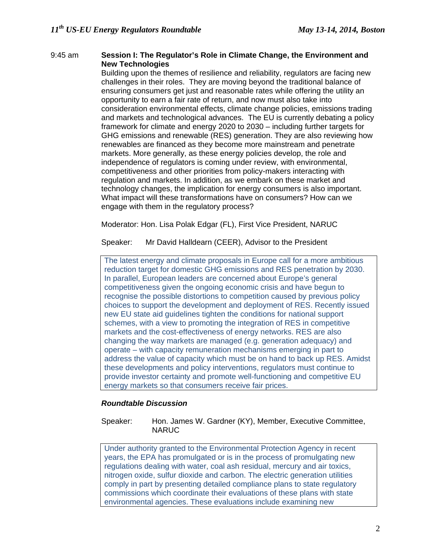#### 9:45 am **Session I: The Regulator's Role in Climate Change, the Environment and New Technologies**

Building upon the themes of resilience and reliability, regulators are facing new challenges in their roles. They are moving beyond the traditional balance of ensuring consumers get just and reasonable rates while offering the utility an opportunity to earn a fair rate of return, and now must also take into consideration environmental effects, climate change policies, emissions trading and markets and technological advances. The EU is currently debating a policy framework for climate and energy 2020 to 2030 – including further targets for GHG emissions and renewable (RES) generation. They are also reviewing how renewables are financed as they become more mainstream and penetrate markets. More generally, as these energy policies develop, the role and independence of regulators is coming under review, with environmental, competitiveness and other priorities from policy-makers interacting with regulation and markets. In addition, as we embark on these market and technology changes, the implication for energy consumers is also important. What impact will these transformations have on consumers? How can we engage with them in the regulatory process?

Moderator: Hon. Lisa Polak Edgar (FL), First Vice President, NARUC

Speaker: Mr David Halldearn (CEER), Advisor to the President

The latest energy and climate proposals in Europe call for a more ambitious reduction target for domestic GHG emissions and RES penetration by 2030. In parallel, European leaders are concerned about Europe's general competitiveness given the ongoing economic crisis and have begun to recognise the possible distortions to competition caused by previous policy choices to support the development and deployment of RES. Recently issued new EU state aid guidelines tighten the conditions for national support schemes, with a view to promoting the integration of RES in competitive markets and the cost-effectiveness of energy networks. RES are also changing the way markets are managed (e.g. generation adequacy) and operate – with capacity remuneration mechanisms emerging in part to address the value of capacity which must be on hand to back up RES. Amidst these developments and policy interventions, regulators must continue to provide investor certainty and promote well-functioning and competitive EU energy markets so that consumers receive fair prices.

# *Roundtable Discussion*

Speaker: Hon. James W. Gardner (KY), Member, Executive Committee, **NARUC** 

Under authority granted to the Environmental Protection Agency in recent years, the EPA has promulgated or is in the process of promulgating new regulations dealing with water, coal ash residual, mercury and air toxics, nitrogen oxide, sulfur dioxide and carbon. The electric generation utilities comply in part by presenting detailed compliance plans to state regulatory commissions which coordinate their evaluations of these plans with state environmental agencies. These evaluations include examining new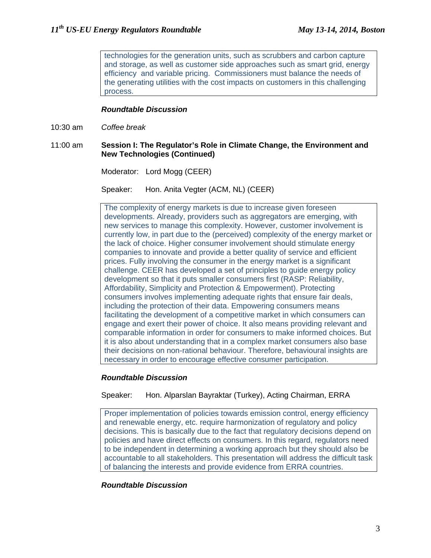technologies for the generation units, such as scrubbers and carbon capture and storage, as well as customer side approaches such as smart grid, energy efficiency and variable pricing. Commissioners must balance the needs of the generating utilities with the cost impacts on customers in this challenging process.

## *Roundtable Discussion*

10:30 am *Coffee break* 

### 11:00 am **Session I: The Regulator's Role in Climate Change, the Environment and New Technologies (Continued)**

Moderator: Lord Mogg (CEER)

Speaker: Hon. Anita Vegter (ACM, NL) (CEER)

The complexity of energy markets is due to increase given foreseen developments. Already, providers such as aggregators are emerging, with new services to manage this complexity. However, customer involvement is currently low, in part due to the (perceived) complexity of the energy market or the lack of choice. Higher consumer involvement should stimulate energy companies to innovate and provide a better quality of service and efficient prices. Fully involving the consumer in the energy market is a significant challenge. CEER has developed a set of principles to guide energy policy development so that it puts smaller consumers first (RASP: Reliability, Affordability, Simplicity and Protection & Empowerment). Protecting consumers involves implementing adequate rights that ensure fair deals, including the protection of their data. Empowering consumers means facilitating the development of a competitive market in which consumers can engage and exert their power of choice. It also means providing relevant and comparable information in order for consumers to make informed choices. But it is also about understanding that in a complex market consumers also base their decisions on non-rational behaviour. Therefore, behavioural insights are necessary in order to encourage effective consumer participation.

# *Roundtable Discussion*

Speaker: Hon. Alparslan Bayraktar (Turkey), Acting Chairman, ERRA

Proper implementation of policies towards emission control, energy efficiency and renewable energy, etc. require harmonization of regulatory and policy decisions. This is basically due to the fact that regulatory decisions depend on policies and have direct effects on consumers. In this regard, regulators need to be independent in determining a working approach but they should also be accountable to all stakeholders. This presentation will address the difficult task of balancing the interests and provide evidence from ERRA countries.

# *Roundtable Discussion*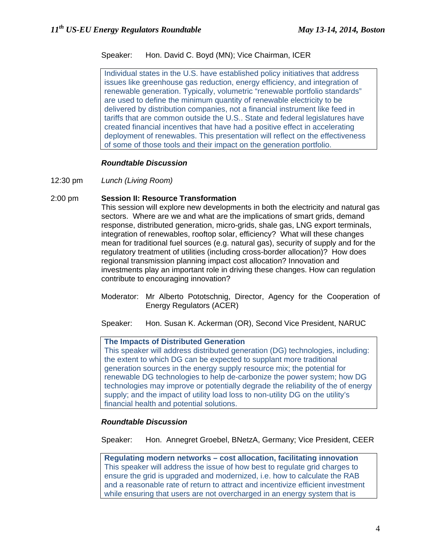# Speaker: Hon. David C. Boyd (MN); Vice Chairman, ICER

Individual states in the U.S. have established policy initiatives that address issues like greenhouse gas reduction, energy efficiency, and integration of renewable generation. Typically, volumetric "renewable portfolio standards" are used to define the minimum quantity of renewable electricity to be delivered by distribution companies, not a financial instrument like feed in tariffs that are common outside the U.S.. State and federal legislatures have created financial incentives that have had a positive effect in accelerating deployment of renewables. This presentation will reflect on the effectiveness of some of those tools and their impact on the generation portfolio.

# *Roundtable Discussion*

12:30 pm *Lunch (Living Room)*

# 2:00 pm **Session II: Resource Transformation**

This session will explore new developments in both the electricity and natural gas sectors. Where are we and what are the implications of smart grids, demand response, distributed generation, micro-grids, shale gas, LNG export terminals, integration of renewables, rooftop solar, efficiency? What will these changes mean for traditional fuel sources (e.g. natural gas), security of supply and for the regulatory treatment of utilities (including cross-border allocation)? How does regional transmission planning impact cost allocation? Innovation and investments play an important role in driving these changes. How can regulation contribute to encouraging innovation?

Moderator: Mr Alberto Pototschnig, Director, Agency for the Cooperation of Energy Regulators (ACER)

Speaker: Hon. Susan K. Ackerman (OR), Second Vice President, NARUC

#### **The Impacts of Distributed Generation**

This speaker will address distributed generation (DG) technologies, including: the extent to which DG can be expected to supplant more traditional generation sources in the energy supply resource mix; the potential for renewable DG technologies to help de-carbonize the power system; how DG technologies may improve or potentially degrade the reliability of the of energy supply; and the impact of utility load loss to non-utility DG on the utility's financial health and potential solutions.

# *Roundtable Discussion*

Speaker: Hon. Annegret Groebel, BNetzA, Germany; Vice President, CEER

**Regulating modern networks – cost allocation, facilitating innovation**  This speaker will address the issue of how best to regulate grid charges to ensure the grid is upgraded and modernized, i.e. how to calculate the RAB and a reasonable rate of return to attract and incentivize efficient investment while ensuring that users are not overcharged in an energy system that is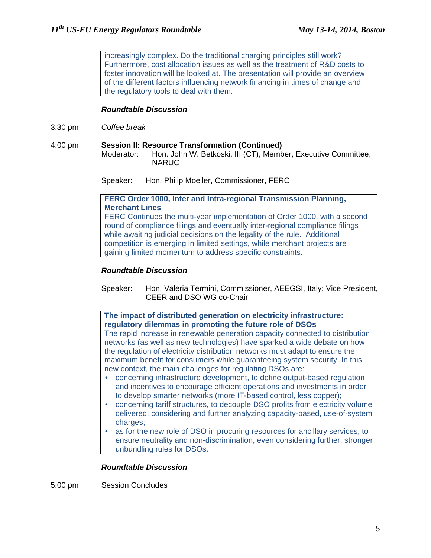increasingly complex. Do the traditional charging principles still work? Furthermore, cost allocation issues as well as the treatment of R&D costs to foster innovation will be looked at. The presentation will provide an overview of the different factors influencing network financing in times of change and the regulatory tools to deal with them.

## *Roundtable Discussion*

- 3:30 pm *Coffee break*
- 4:00 pm **Session II: Resource Transformation (Continued)**  Moderator: Hon. John W. Betkoski, III (CT), Member, Executive Committee, NARUC

Speaker: Hon. Philip Moeller, Commissioner, FERC

## **FERC Order 1000, Inter and Intra-regional Transmission Planning, Merchant Lines**

FERC Continues the multi-year implementation of Order 1000, with a second round of compliance filings and eventually inter-regional compliance filings while awaiting judicial decisions on the legality of the rule. Additional competition is emerging in limited settings, while merchant projects are gaining limited momentum to address specific constraints.

#### *Roundtable Discussion*

Speaker: Hon. Valeria Termini, Commissioner, AEEGSI, Italy; Vice President, CEER and DSO WG co-Chair

# **The impact of distributed generation on electricity infrastructure: regulatory dilemmas in promoting the future role of DSOs**

The rapid increase in renewable generation capacity connected to distribution networks (as well as new technologies) have sparked a wide debate on how the regulation of electricity distribution networks must adapt to ensure the maximum benefit for consumers while guaranteeing system security. In this new context, the main challenges for regulating DSOs are:

- concerning infrastructure development, to define output-based regulation and incentives to encourage efficient operations and investments in order to develop smarter networks (more IT-based control, less copper);
- concerning tariff structures, to decouple DSO profits from electricity volume delivered, considering and further analyzing capacity-based, use-of-system charges;
- as for the new role of DSO in procuring resources for ancillary services, to ensure neutrality and non‐discrimination, even considering further, stronger unbundling rules for DSOs.

#### *Roundtable Discussion*

5:00 pm Session Concludes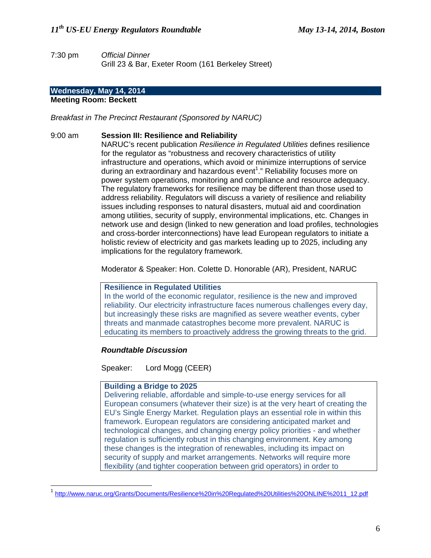7:30 pm *Official Dinner* Grill 23 & Bar, Exeter Room (161 Berkeley Street)

## **Wednesday, May 14, 2014**

# **Meeting Room: Beckett**

*Breakfast in The Precinct Restaurant (Sponsored by NARUC)* 

## 9:00 am **Session III: Resilience and Reliability**

NARUC's recent publication *Resilience in Regulated Utilities* defines resilience for the regulator as "robustness and recovery characteristics of utility infrastructure and operations, which avoid or minimize interruptions of service during an extraordinary and hazardous event<sup>1</sup>." Reliability focuses more on power system operations, monitoring and compliance and resource adequacy. The regulatory frameworks for resilience may be different than those used to address reliability. Regulators will discuss a variety of resilience and reliability issues including responses to natural disasters, mutual aid and coordination among utilities, security of supply, environmental implications, etc. Changes in network use and design (linked to new generation and load profiles, technologies and cross-border interconnections) have lead European regulators to initiate a holistic review of electricity and gas markets leading up to 2025, including any implications for the regulatory framework.

Moderator & Speaker: Hon. Colette D. Honorable (AR), President, NARUC

#### **Resilience in Regulated Utilities**

In the world of the economic regulator, resilience is the new and improved reliability. Our electricity infrastructure faces numerous challenges every day, but increasingly these risks are magnified as severe weather events, cyber threats and manmade catastrophes become more prevalent. NARUC is educating its members to proactively address the growing threats to the grid.

# *Roundtable Discussion*

Speaker: Lord Mogg (CEER)

#### **Building a Bridge to 2025**

 $\overline{a}$ 

Delivering reliable, affordable and simple-to-use energy services for all European consumers (whatever their size) is at the very heart of creating the EU's Single Energy Market. Regulation plays an essential role in within this framework. European regulators are considering anticipated market and technological changes, and changing energy policy priorities - and whether regulation is sufficiently robust in this changing environment. Key among these changes is the integration of renewables, including its impact on security of supply and market arrangements. Networks will require more flexibility (and tighter cooperation between grid operators) in order to

<sup>1</sup> http://www.naruc.org/Grants/Documents/Resilience%20in%20Regulated%20Utilities%20ONLINE%2011\_12.pdf